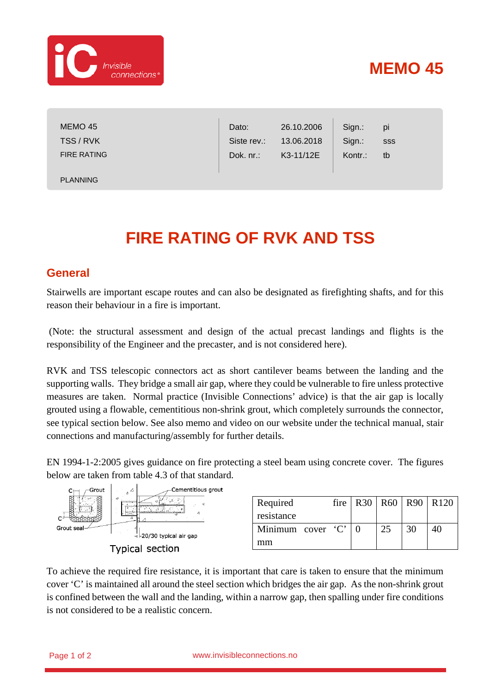

## **MEMO 45**

| MEMO 45<br>TSS/RVK | Dato:<br>Siste rev.: | 26.10.2006<br>13.06.2018 | Sign.:<br>Sign.: | pi<br>SSS |  |
|--------------------|----------------------|--------------------------|------------------|-----------|--|
| <b>FIRE RATING</b> | Dok. nr.:            | K3-11/12E                | Kontr.:          | tb        |  |
| <b>PLANNING</b>    |                      |                          |                  |           |  |

## **FIRE RATING OF RVK AND TSS**

## **General**

Stairwells are important escape routes and can also be designated as firefighting shafts, and for this reason their behaviour in a fire is important.

(Note: the structural assessment and design of the actual precast landings and flights is the responsibility of the Engineer and the precaster, and is not considered here).

RVK and TSS telescopic connectors act as short cantilever beams between the landing and the supporting walls. They bridge a small air gap, where they could be vulnerable to fire unless protective measures are taken. Normal practice (Invisible Connections' advice) is that the air gap is locally grouted using a flowable, cementitious non-shrink grout, which completely surrounds the connector, see typical section below. See also memo and video on our website under the technical manual, stair connections and manufacturing/assembly for further details.

EN 1994-1-2:2005 gives guidance on fire protecting a steel beam using concrete cover. The figures below are taken from table 4.3 of that standard.



| Required          |  |    |    | fire   R30   R60   R90   R120 |
|-------------------|--|----|----|-------------------------------|
| resistance        |  |    |    |                               |
| Minimum cover 'C' |  | 25 | 30 |                               |
| mm                |  |    |    |                               |

To achieve the required fire resistance, it is important that care is taken to ensure that the minimum cover 'C' is maintained all around the steel section which bridges the air gap. As the non-shrink grout is confined between the wall and the landing, within a narrow gap, then spalling under fire conditions is not considered to be a realistic concern.